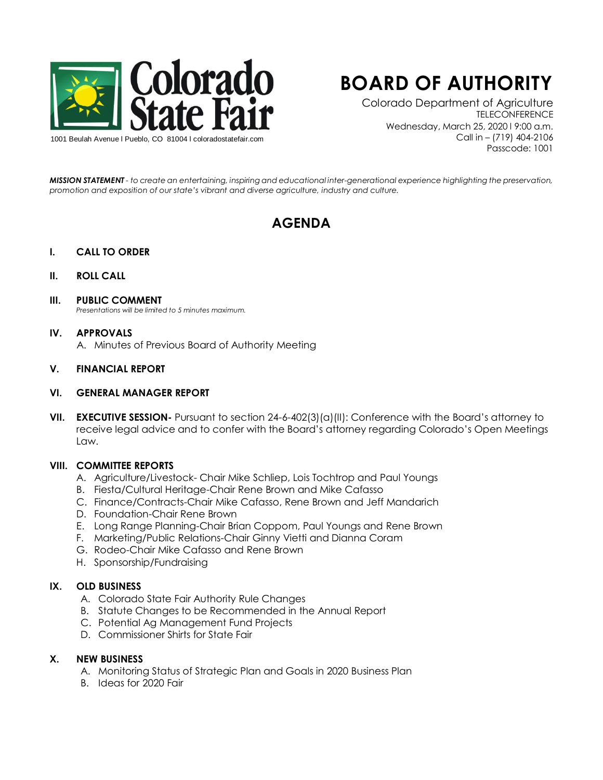

# **BOARD OF AUTHORITY**

Colorado Department of Agriculture **TELECONFERENCE** Wednesday, March 25, 2020 l 9:00 a.m. Call in – (719) 404-2106 Passcode: 1001

*MISSION STATEMENT - to create an entertaining, inspiring and educational inter-generational experience highlighting the preservation, promotion and exposition of our state's vibrant and diverse agriculture, industry and culture.*

# **AGENDA**

# **I. CALL TO ORDER**

# **II. ROLL CALL**

#### **III. PUBLIC COMMENT**

*Presentations will be limited to 5 minutes maximum.* 

#### **IV. APPROVALS**

A. Minutes of Previous Board of Authority Meeting

# **V. FINANCIAL REPORT**

#### **VI. GENERAL MANAGER REPORT**

**VII. EXECUTIVE SESSION-** Pursuant to section 24-6-402(3)(a)(II): Conference with the Board's attorney to receive legal advice and to confer with the Board's attorney regarding Colorado's Open Meetings Law.

#### **VIII. COMMITTEE REPORTS**

- A. Agriculture/Livestock- Chair Mike Schliep, Lois Tochtrop and Paul Youngs
- B. Fiesta/Cultural Heritage-Chair Rene Brown and Mike Cafasso
- C. Finance/Contracts-Chair Mike Cafasso, Rene Brown and Jeff Mandarich
- D. Foundation-Chair Rene Brown
- E. Long Range Planning-Chair Brian Coppom, Paul Youngs and Rene Brown
- F. Marketing/Public Relations-Chair Ginny Vietti and Dianna Coram
- G. Rodeo-Chair Mike Cafasso and Rene Brown
- H. Sponsorship/Fundraising

# **IX. OLD BUSINESS**

- A. Colorado State Fair Authority Rule Changes
- B. Statute Changes to be Recommended in the Annual Report
- C. Potential Ag Management Fund Projects
- D. Commissioner Shirts for State Fair

# **X. NEW BUSINESS**

- A. Monitoring Status of Strategic Plan and Goals in 2020 Business Plan
- B. Ideas for 2020 Fair